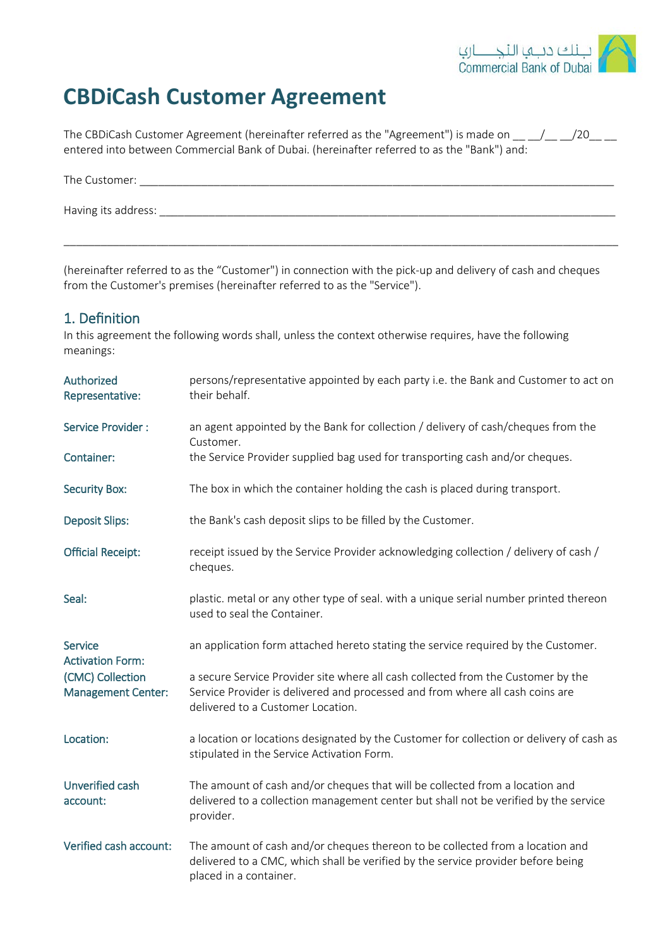

# **CBDiCash Customer Agreement**

The CBDiCash Customer Agreement (hereinafter referred as the "Agreement") is made on \_\_ \_/\_ \_/20\_ \_\_ entered into between Commercial Bank of Dubai. (hereinafter referred to as the "Bank") and:

| The Customer:       |  |  |  |
|---------------------|--|--|--|
| Having its address: |  |  |  |
|                     |  |  |  |

(hereinafter referred to as the "Customer") in connection with the pick-up and delivery of cash and cheques from the Customer's premises (hereinafter referred to as the "Service").

#### 1. Definition

In this agreement the following words shall, unless the context otherwise requires, have the following meanings:

| Authorized<br>Representative:                 | persons/representative appointed by each party i.e. the Bank and Customer to act on<br>their behalf.                                                                                                   |
|-----------------------------------------------|--------------------------------------------------------------------------------------------------------------------------------------------------------------------------------------------------------|
| Service Provider:                             | an agent appointed by the Bank for collection / delivery of cash/cheques from the<br>Customer.                                                                                                         |
| Container:                                    | the Service Provider supplied bag used for transporting cash and/or cheques.                                                                                                                           |
| <b>Security Box:</b>                          | The box in which the container holding the cash is placed during transport.                                                                                                                            |
| <b>Deposit Slips:</b>                         | the Bank's cash deposit slips to be filled by the Customer.                                                                                                                                            |
| <b>Official Receipt:</b>                      | receipt issued by the Service Provider acknowledging collection / delivery of cash /<br>cheques.                                                                                                       |
| Seal:                                         | plastic. metal or any other type of seal. with a unique serial number printed thereon<br>used to seal the Container.                                                                                   |
| <b>Service</b><br><b>Activation Form:</b>     | an application form attached hereto stating the service required by the Customer.                                                                                                                      |
| (CMC) Collection<br><b>Management Center:</b> | a secure Service Provider site where all cash collected from the Customer by the<br>Service Provider is delivered and processed and from where all cash coins are<br>delivered to a Customer Location. |
| Location:                                     | a location or locations designated by the Customer for collection or delivery of cash as<br>stipulated in the Service Activation Form.                                                                 |
| Unverified cash<br>account:                   | The amount of cash and/or cheques that will be collected from a location and<br>delivered to a collection management center but shall not be verified by the service<br>provider.                      |
| Verified cash account:                        | The amount of cash and/or cheques thereon to be collected from a location and<br>delivered to a CMC, which shall be verified by the service provider before being<br>placed in a container.            |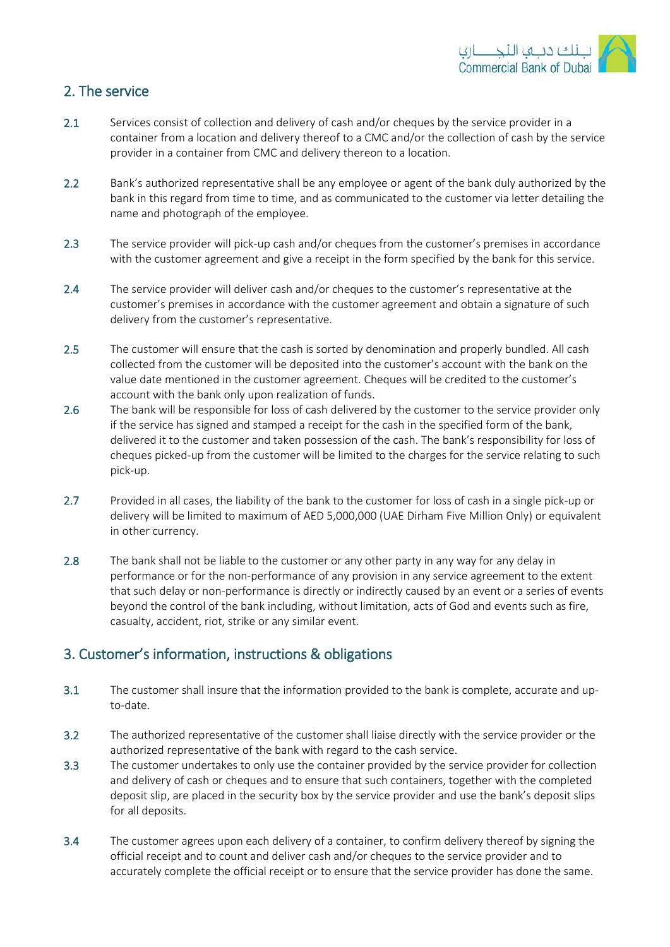

## 2. The service

- 2.1 Services consist of collection and delivery of cash and/or cheques by the service provider in a container from a location and delivery thereof to a CMC and/or the collection of cash by the service provider in a container from CMC and delivery thereon to a location.
- 2.2 Bank's authorized representative shall be any employee or agent of the bank duly authorized by the bank in this regard from time to time, and as communicated to the customer via letter detailing the name and photograph of the employee.
- 2.3 The service provider will pick-up cash and/or cheques from the customer's premises in accordance with the customer agreement and give a receipt in the form specified by the bank for this service.
- 2.4 The service provider will deliver cash and/or cheques to the customer's representative at the customer's premises in accordance with the customer agreement and obtain a signature of such delivery from the customer's representative.
- 2.5 The customer will ensure that the cash is sorted by denomination and properly bundled. All cash collected from the customer will be deposited into the customer's account with the bank on the value date mentioned in the customer agreement. Cheques will be credited to the customer's account with the bank only upon realization of funds.
- 2.6 The bank will be responsible for loss of cash delivered by the customer to the service provider only if the service has signed and stamped a receipt for the cash in the specified form of the bank, delivered it to the customer and taken possession of the cash. The bank's responsibility for loss of cheques picked-up from the customer will be limited to the charges for the service relating to such pick-up.
- 2.7 Provided in all cases, the liability of the bank to the customer for loss of cash in a single pick-up or delivery will be limited to maximum of AED 5,000,000 (UAE Dirham Five Million Only) or equivalent in other currency.
- 2.8 The bank shall not be liable to the customer or any other party in any way for any delay in performance or for the non-performance of any provision in any service agreement to the extent that such delay or non-performance is directly or indirectly caused by an event or a series of events beyond the control of the bank including, without limitation, acts of God and events such as fire, casualty, accident, riot, strike or any similar event.

# 3. Customer's information, instructions & obligations

- 3.1 The customer shall insure that the information provided to the bank is complete, accurate and upto-date.
- 3.2 The authorized representative of the customer shall liaise directly with the service provider or the authorized representative of the bank with regard to the cash service.
- 3.3 The customer undertakes to only use the container provided by the service provider for collection and delivery of cash or cheques and to ensure that such containers, together with the completed deposit slip, are placed in the security box by the service provider and use the bank's deposit slips for all deposits.
- 3.4 The customer agrees upon each delivery of a container, to confirm delivery thereof by signing the official receipt and to count and deliver cash and/or cheques to the service provider and to accurately complete the official receipt or to ensure that the service provider has done the same.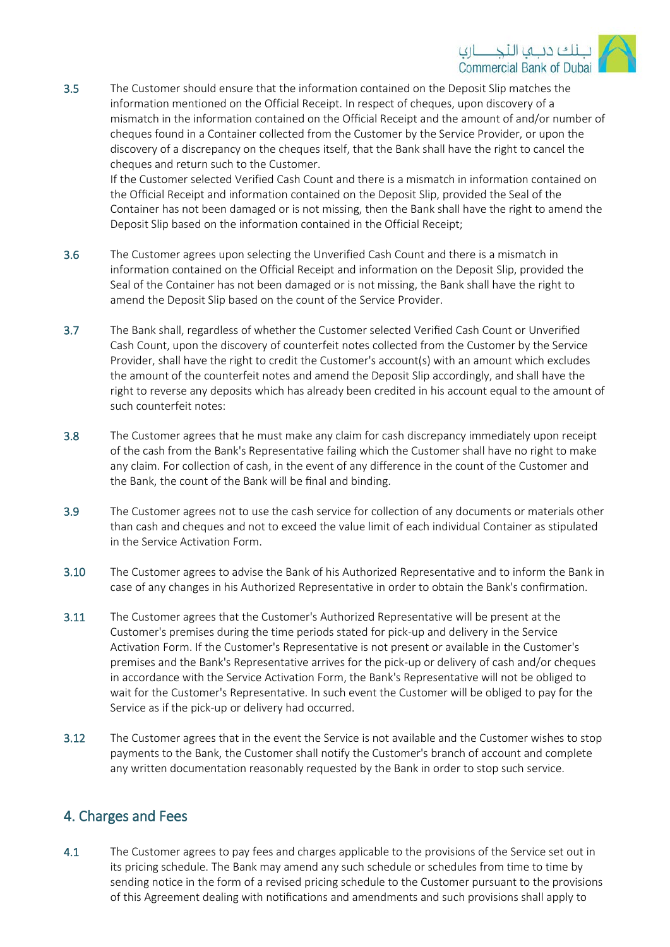

3.5 The Customer should ensure that the information contained on the Deposit Slip matches the information mentioned on the Official Receipt. In respect of cheques, upon discovery of a mismatch in the information contained on the Official Receipt and the amount of and/or number of cheques found in a Container collected from the Customer by the Service Provider, or upon the discovery of a discrepancy on the cheques itself, that the Bank shall have the right to cancel the cheques and return such to the Customer.

If the Customer selected Verified Cash Count and there is a mismatch in information contained on the Official Receipt and information contained on the Deposit Slip, provided the Seal of the Container has not been damaged or is not missing, then the Bank shall have the right to amend the Deposit Slip based on the information contained in the Official Receipt;

- 3.6 The Customer agrees upon selecting the Unverified Cash Count and there is a mismatch in information contained on the Official Receipt and information on the Deposit Slip, provided the Seal of the Container has not been damaged or is not missing, the Bank shall have the right to amend the Deposit Slip based on the count of the Service Provider.
- 3.7 The Bank shall, regardless of whether the Customer selected Verified Cash Count or Unverified Cash Count, upon the discovery of counterfeit notes collected from the Customer by the Service Provider, shall have the right to credit the Customer's account(s) with an amount which excludes the amount of the counterfeit notes and amend the Deposit Slip accordingly, and shall have the right to reverse any deposits which has already been credited in his account equal to the amount of such counterfeit notes:
- 3.8 The Customer agrees that he must make any claim for cash discrepancy immediately upon receipt of the cash from the Bank's Representative failing which the Customer shall have no right to make any claim. For collection of cash, in the event of any difference in the count of the Customer and the Bank, the count of the Bank will be final and binding.
- 3.9 The Customer agrees not to use the cash service for collection of any documents or materials other than cash and cheques and not to exceed the value limit of each individual Container as stipulated in the Service Activation Form.
- 3.10 The Customer agrees to advise the Bank of his Authorized Representative and to inform the Bank in case of any changes in his Authorized Representative in order to obtain the Bank's confirmation.
- 3.11 The Customer agrees that the Customer's Authorized Representative will be present at the Customer's premises during the time periods stated for pick-up and delivery in the Service Activation Form. If the Customer's Representative is not present or available in the Customer's premises and the Bank's Representative arrives for the pick-up or delivery of cash and/or cheques in accordance with the Service Activation Form, the Bank's Representative will not be obliged to wait for the Customer's Representative. In such event the Customer will be obliged to pay for the Service as if the pick-up or delivery had occurred.
- 3.12 The Customer agrees that in the event the Service is not available and the Customer wishes to stop payments to the Bank, the Customer shall notify the Customer's branch of account and complete any written documentation reasonably requested by the Bank in order to stop such service.

## 4. Charges and Fees

4.1 The Customer agrees to pay fees and charges applicable to the provisions of the Service set out in its pricing schedule. The Bank may amend any such schedule or schedules from time to time by sending notice in the form of a revised pricing schedule to the Customer pursuant to the provisions of this Agreement dealing with notifications and amendments and such provisions shall apply to